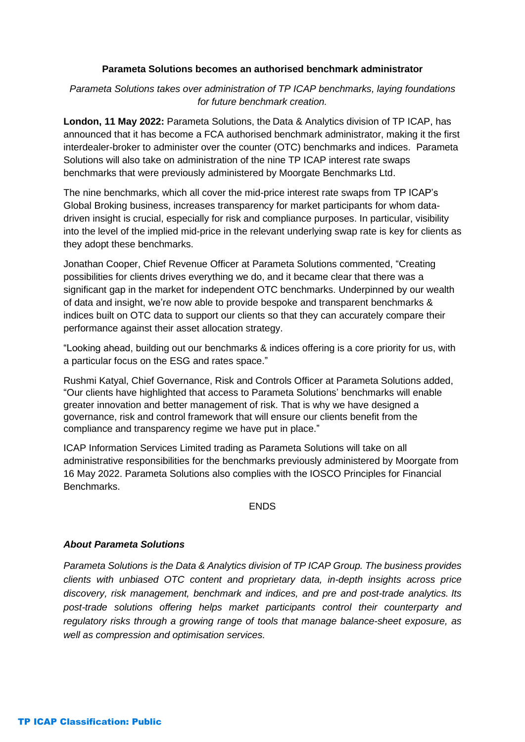## **Parameta Solutions becomes an authorised benchmark administrator**

## *Parameta Solutions takes over administration of TP ICAP benchmarks, laying foundations for future benchmark creation.*

**London, 11 May 2022:** Parameta Solutions, the Data & Analytics division of TP ICAP, has announced that it has become a FCA authorised benchmark administrator, making it the first interdealer-broker to administer over the counter (OTC) benchmarks and indices. Parameta Solutions will also take on administration of the nine TP ICAP interest rate swaps benchmarks that were previously administered by Moorgate Benchmarks Ltd.

The nine benchmarks, which all cover the mid-price interest rate swaps from TP ICAP's Global Broking business, increases transparency for market participants for whom datadriven insight is crucial, especially for risk and compliance purposes. In particular, visibility into the level of the implied mid-price in the relevant underlying swap rate is key for clients as they adopt these benchmarks.

Jonathan Cooper, Chief Revenue Officer at Parameta Solutions commented, "Creating possibilities for clients drives everything we do, and it became clear that there was a significant gap in the market for independent OTC benchmarks. Underpinned by our wealth of data and insight, we're now able to provide bespoke and transparent benchmarks & indices built on OTC data to support our clients so that they can accurately compare their performance against their asset allocation strategy.

"Looking ahead, building out our benchmarks & indices offering is a core priority for us, with a particular focus on the ESG and rates space."

Rushmi Katyal, Chief Governance, Risk and Controls Officer at Parameta Solutions added, "Our clients have highlighted that access to Parameta Solutions' benchmarks will enable greater innovation and better management of risk. That is why we have designed a governance, risk and control framework that will ensure our clients benefit from the compliance and transparency regime we have put in place."

ICAP Information Services Limited trading as Parameta Solutions will take on all administrative responsibilities for the benchmarks previously administered by Moorgate from 16 May 2022. Parameta Solutions also complies with the IOSCO Principles for Financial Benchmarks.

## **ENDS**

## *About Parameta Solutions*

*Parameta Solutions is the Data & Analytics division of TP ICAP Group. The business provides clients with unbiased OTC content and proprietary data, in-depth insights across price discovery, risk management, benchmark and indices, and pre and post-trade analytics. Its post-trade solutions offering helps market participants control their counterparty and regulatory risks through a growing range of tools that manage balance-sheet exposure, as well as compression and optimisation services.*